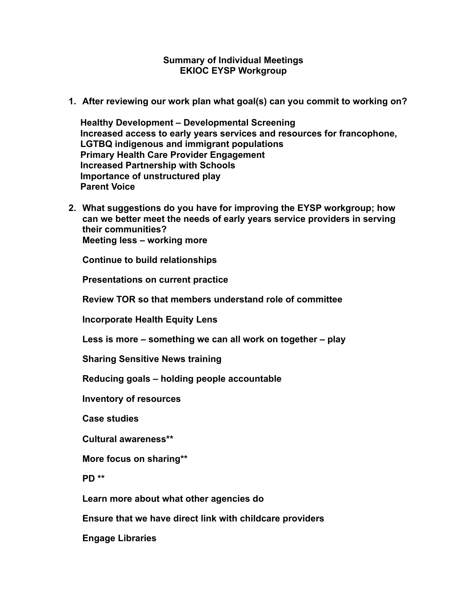#### **Summary of Individual Meetings EKIOC EYSP Workgroup**

**1. After reviewing our work plan what goal(s) can you commit to working on?** 

 **Healthy Development – Developmental Screening Increased access to early years services and resources for francophone, LGTBQ indigenous and immigrant populations Primary Health Care Provider Engagement Increased Partnership with Schools Importance of unstructured play Parent Voice** 

**2. What suggestions do you have for improving the EYSP workgroup; how can we better meet the needs of early years service providers in serving their communities? Meeting less – working more** 

**Continue to build relationships** 

**Presentations on current practice** 

**Review TOR so that members understand role of committee** 

**Incorporate Health Equity Lens** 

**Less is more – something we can all work on together – play** 

**Sharing Sensitive News training** 

**Reducing goals – holding people accountable** 

**Inventory of resources** 

**Case studies** 

**Cultural awareness\*\*** 

**More focus on sharing\*\*** 

**PD \*\*** 

**Learn more about what other agencies do** 

**Ensure that we have direct link with childcare providers** 

**Engage Libraries**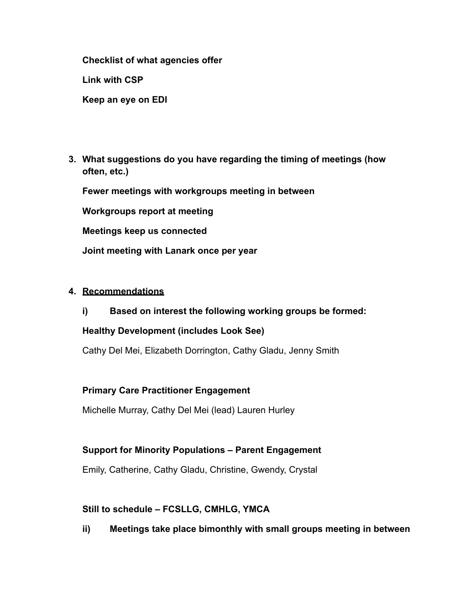**Checklist of what agencies offer** 

**Link with CSP** 

**Keep an eye on EDI** 

**3. What suggestions do you have regarding the timing of meetings (how often, etc.)**

**Fewer meetings with workgroups meeting in between** 

**Workgroups report at meeting** 

**Meetings keep us connected** 

**Joint meeting with Lanark once per year** 

### **4. Recommendations**

**i) Based on interest the following working groups be formed:** 

### **Healthy Development (includes Look See)**

Cathy Del Mei, Elizabeth Dorrington, Cathy Gladu, Jenny Smith

### **Primary Care Practitioner Engagement**

Michelle Murray, Cathy Del Mei (lead) Lauren Hurley

# **Support for Minority Populations – Parent Engagement**

Emily, Catherine, Cathy Gladu, Christine, Gwendy, Crystal

# **Still to schedule – FCSLLG, CMHLG, YMCA**

**ii) Meetings take place bimonthly with small groups meeting in between**